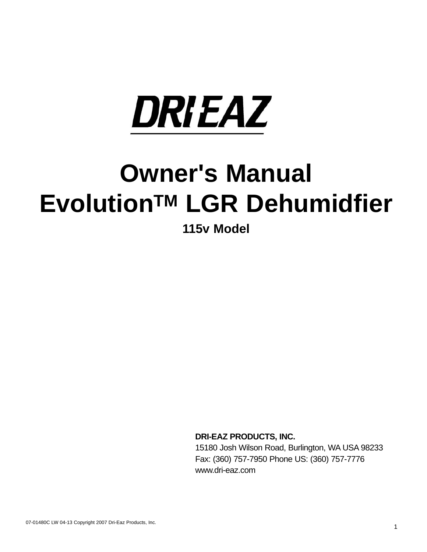

# **Owner's Manual EvolutionTM LGR Dehumidfier**

**115v Model**

**DRI-EAZ PRODUCTS, INC.**

15180 Josh Wilson Road, Burlington, WA USA 98233 Fax: (360) 757-7950 Phone US: (360) 757-7776 www.dri-eaz.com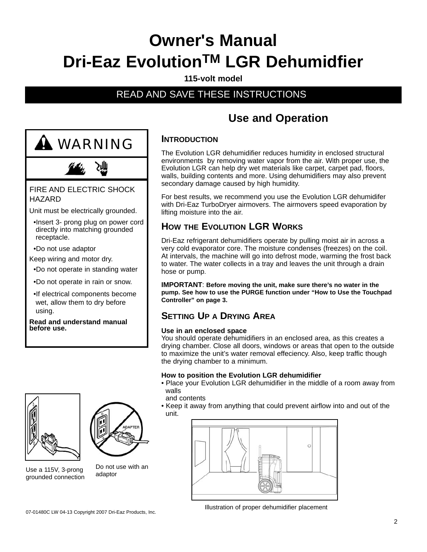## **Owner's Manual Dri-Eaz EvolutionTM LGR Dehumidfier**

#### **115-volt model**

## READ AND SAVE THESE INSTRUCTIONS



- directly into matching grounded receptacle.
- •Do not use adaptor
- Keep wiring and motor dry.
- •Do not operate in standing water
- •Do not operate in rain or snow.
- •If electrical components become wet, allow them to dry before using.

**Read and understand manual before use.**



Use a 115V, 3-prong grounded connection



Do not use with an adaptor

## **Use and Operation**

## **INTRODUCTION**

The Evolution LGR dehumidifier reduces humidity in enclosed structural environments by removing water vapor from the air. With proper use, the Evolution LGR can help dry wet materials like carpet, carpet pad, floors, walls, building contents and more. Using dehumidifiers may also prevent secondary damage caused by high humidity.

For best results, we recommend you use the Evolution LGR dehumidifer with Dri-Eaz TurboDryer airmovers. The airmovers speed evaporation by lifting moisture into the air.

## **HOW THE EVOLUTION LGR WORKS**

Dri-Eaz refrigerant dehumidifiers operate by pulling moist air in across a very cold evaporator core. The moisture condenses (freezes) on the coil. At intervals, the machine will go into defrost mode, warming the frost back to water. The water collects in a tray and leaves the unit through a drain hose or pump.

**IMPORTANT**: **Before moving the unit, make sure there's no water in the pump. See how to use the PURGE function under "How to Use the Touchpad Controller" on page 3.**

## **SETTING UP A DRYING AREA**

#### **Use in an enclosed space**

You should operate dehumidifiers in an enclosed area, as this creates a drying chamber. Close all doors, windows or areas that open to the outside to maximize the unit's water removal effeciency. Also, keep traffic though the drying chamber to a minimum.

#### **How to position the Evolution LGR dehumidifier**

• Place your Evolution LGR dehumidifier in the middle of a room away from walls

and contents

• Keep it away from anything that could prevent airflow into and out of the unit.



Illustration of proper dehumidifier placement 07-01480C LW 04-13 Copyright 2007 Dri-Eaz Products, Inc.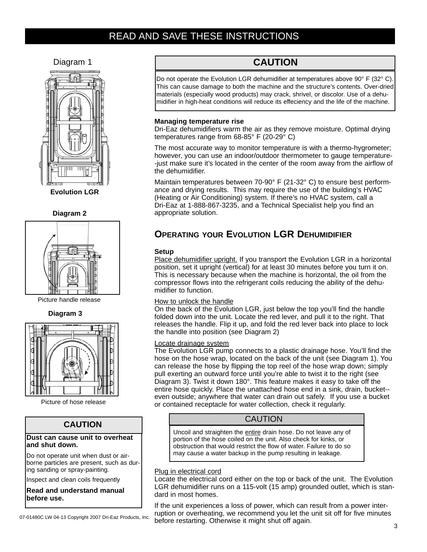## READ AND SAVE THESE INSTRUCTIONS

Diagram 1



**Evolution LGR**





Picture handle release

**Diagram 3**



Picture of hose release

#### **CAUTION**

#### **Dust can cause unit to overheat and shut down.**

Do not operate unit when dust or airborne particles are present, such as during sanding or spray-painting.

Inspect and clean coils frequently

**Read and understand manual before use.**

07-01480C LW 04-13 Copyright 2007 Dri-Eaz Products, Inc.

## **CAUTION**

Do not operate the Evolution LGR dehumidifier at temperatures above 90° F (32° C). This can cause damage to both the machine and the structure's contents. Over-dried materials (especially wood products) may crack, shrivel, or discolor. Use of a dehumidifier in high-heat conditions will reduce its effeciency and the life of the machine.

#### **Managing temperature rise**

Dri-Eaz dehumidifiers warm the air as they remove moisture. Optimal drying temperatures range from 68-85° F (20-29° C)

The most accurate way to monitor temperature is with a thermo-hygrometer; however, you can use an indoor/outdoor thermometer to gauge temperature- -just make sure it's located in the center of the room away from the airflow of the dehumidifier.

Maintain temperatures between 70-90° F (21-32° C) to ensure best performance and drying results. This may require the use of the building's HVAC (Heating or Air Conditioning) system. If there's no HVAC system, call a Dri-Eaz at 1-888-867-3235, and a Technical Specialist help you find an appropriate solution.

## **OPERATING YOUR EVOLUTION LGR DEHUMIDIFIER**

#### **Setup**

Place dehumidifier upright. If you transport the Evolution LGR in a horizontal position, set it upright (vertical) for at least 30 minutes before you turn it on. This is necessary because when the machine is horizontal, the oil from the compressor flows into the refrigerant coils reducing the ability of the dehumidifier to function.

#### How to unlock the handle

On the back of the Evolution LGR, just below the top you'll find the handle folded down into the unit. Locate the red lever, and pull it to the right. That releases the handle. Flip it up, and fold the red lever back into place to lock the handle into position (see Diagram 2)

#### Locate drainage system

The Evolution LGR pump connects to a plastic drainage hose. You'll find the hose on the hose wrap, located on the back of the unit (see Diagram 1). You can release the hose by flipping the top reel of the hose wrap down; simply pull exerting an outward force until you're able to twist it to the right (see Diagram 3). Twist it down 180°. This feature makes it easy to take off the entire hose quickly. Place the unattached hose end in a sink, drain, bucket- even outside; anywhere that water can drain out safely. If you use a bucket or contained receptacle for water collection, check it regularly.

#### CAUTION

Uncoil and straighten the entire drain hose. Do not leave any of portion of the hose coiled on the unit. Also check for kinks, or obstruction that would restrict the flow of water. Failure to do so may cause a water backup in the pump resulting in leakage.

#### Plug in electrical cord

Locate the electrical cord either on the top or back of the unit. The Evolution LGR dehumidifier runs on a 115-volt (15 amp) grounded outlet, which is standard in most homes.

If the unit experiences a loss of power, which can result from a power interruption or overheating, we recommend you let the unit sit off for five minutes before restarting. Otherwise it might shut off again.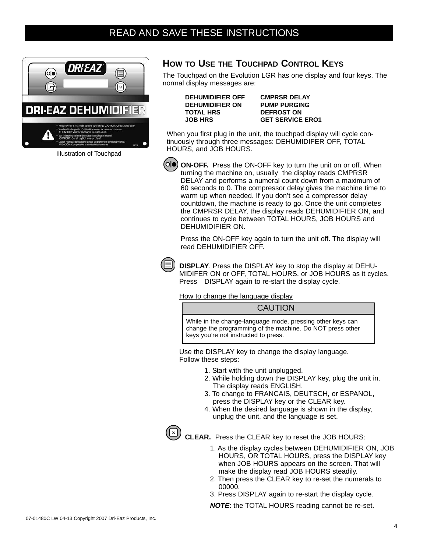

IIlustration of Touchpad

#### **HOW TO USE THE TOUCHPAD CONTROL KEYS**

The Touchpad on the Evolution LGR has one display and four keys. The normal display messages are:

**DEHUMIDIFIER OFF CMPRSR DELAY DEHUMIDIFIER ON PUMP PURGING TOTAL HRS DEFROST ON**

**JOB HRS GET SERVICE ERO1**

When you first plug in the unit, the touchpad display will cycle continuously through three messages: DEHUMIDIFER OFF, TOTAL HOURS, and JOB HOURS.



**ON-OFF.** Press the ON-OFF key to turn the unit on or off. When turning the machine on, usually the display reads CMPRSR DELAY and performs a numeral count down from a maximum of 60 seconds to 0. The compressor delay gives the machine time to warm up when needed. If you don't see a compressor delay countdown, the machine is ready to go. Once the unit completes the CMPRSR DELAY, the display reads DEHUMIDIFIER ON, and continues to cycle between TOTAL HOURS, JOB HOURS and DEHUMIDIFIER ON.

Press the ON-OFF key again to turn the unit off. The display will read DEHUMIDIFIER OFF.

**DISPLAY**. Press the DISPLAY key to stop the display at DEHU-MIDIFER ON or OFF, TOTAL HOURS, or JOB HOURS as it cycles. Press DISPLAY again to re-start the display cycle.

How to change the language display

**CAUTION** 

While in the change-language mode, pressing other keys can change the programming of the machine. Do NOT press other keys you're not instructed to press.

Use the DISPLAY key to change the display language. Follow these steps:

- 1. Start with the unit unplugged.
- 2. While holding down the DISPLAY key, plug the unit in. The display reads ENGLISH.
- 3. To change to FRANCAIS, DEUTSCH, or ESPANOL, press the DISPLAY key or the CLEAR key.
- 4. When the desired language is shown in the display, unplug the unit, and the language is set.



**CLEAR.** Press the CLEAR key to reset the JOB HOURS:

- 1. As the display cycles between DEHUMIDIFIER ON, JOB HOURS, OR TOTAL HOURS, press the DISPLAY key when JOB HOURS appears on the screen. That will make the display read JOB HOURS steadily.
- 2. Then press the CLEAR key to re-set the numerals to 00000.
- 3. Press DISPLAY again to re-start the display cycle.

*NOTE*: the TOTAL HOURS reading cannot be re-set.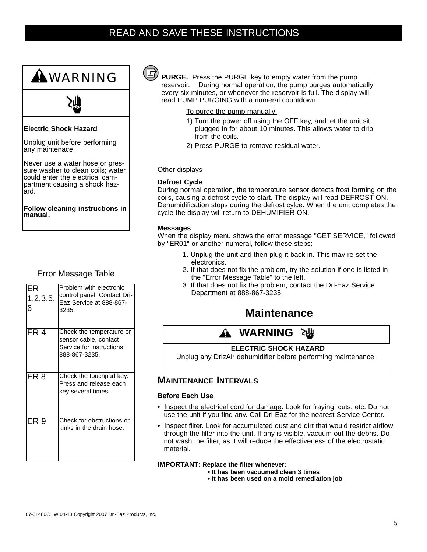## READ AND SAVE THESE INSTRUCTIONS



### Error Message Table

| IER<br> 1,2,3,5,<br>6 | Problem with electronic<br>control panel. Contact Dri-<br>Eaz Service at 888-867-<br>3235.     |
|-----------------------|------------------------------------------------------------------------------------------------|
| IER 4                 | Check the temperature or<br>sensor cable, contact<br>Service for instructions<br>888-867-3235. |
| ER <sub>8</sub>       | Check the touchpad key.<br>Press and release each<br>key several times.                        |
| ER <sub>9</sub>       | Check for obstructions or<br>kinks in the drain hose.                                          |



**PURGE.** Press the PURGE key to empty water from the pump reservoir. During normal operation, the pump purges automatically every six minutes, or whenever the reservoir is full. The display will read PUMP PURGING with a numeral countdown.

- To purge the pump manually:
- 1) Turn the power off using the OFF key, and let the unit sit plugged in for about 10 minutes. This allows water to drip from the coils.
- 2) Press PURGE to remove residual water.

#### Other displays

#### **Defrost Cycle**

During normal operation, the temperature sensor detects frost forming on the coils, causing a defrost cycle to start. The display will read DEFROST ON. Dehumidification stops during the defrost cylce. When the unit completes the cycle the display will return to DEHUMIFIER ON.

#### **Messages**

When the display menu shows the error message "GET SERVICE," followed by "ER01" or another numeral, follow these steps:

- 1. Unplug the unit and then plug it back in. This may re-set the electronics.
- 2. If that does not fix the problem, try the solution if one is listed in the "Error Message Table" to the left.
- 3. If that does not fix the problem, contact the Dri-Eaz Service Department at 888-867-3235.

## **Maintenance**

#### **WARNING** ΣЩΙ

#### **ELECTRIC SHOCK HAZARD**

Unplug any DrizAir dehumidifier before performing maintenance.

#### **MAINTENANCE INTERVALS**

#### **Before Each Use**

- Inspect the electrical cord for damage. Look for fraying, cuts, etc. Do not use the unit if you find any. Call Dri-Eaz for the nearest Service Center.
- Inspect filter. Look for accumulated dust and dirt that would restrict airflow through the filter into the unit. If any is visible, vacuum out the debris. Do not wash the filter, as it will reduce the effectiveness of the electrostatic material.

#### **IMPORTANT**: **Replace the filter whenever:**

- **It has been vacuumed clean 3 times**
- **It has been used on a mold remediation job**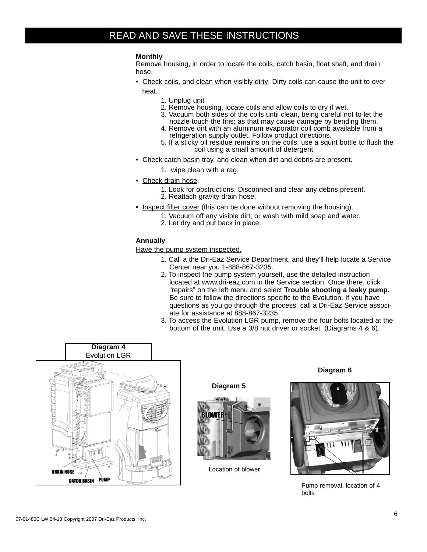## READ AND SAVE THESE INSTRUCTIONS

#### **Monthly**

Remove housing, in order to locate the coils, catch basin, float shaft, and drain hose.

- Check coils, and clean when visibly dirty. Dirty coils can cause the unit to over heat.
	- 1. Unplug unit
	- 2. Remove housing, locate coils and allow coils to dry if wet.
	- 3. Vacuum both sides of the coils until clean, being careful not to let the nozzle touch the fins; as that may cause damage by bending them.
	- 4. Remove dirt with an aluminum evaporator coil comb available from a refrigeration supply outlet. Follow product directions.
	- 5. If a sticky oil residue remains on the coils, use a squirt bottle to flush the coil using a small amount of detergent.
- Check catch basin tray, and clean when dirt and debris are present.
	- 1. wipe clean with a rag.
- Check drain hose.
	- 1. Look for obstructions. Disconnect and clear any debris present. 2. Reattach gravity drain hose.
- Inspect filter cover (this can be done without removing the housing).
	- 1. Vacuum off any visible dirt, or wash with mild soap and water.
	- 2. Let dry and put back in place.

#### **Annually**

Have the pump system inspected.

- 1. Call a the Dri-Eaz Service Department, and they'll help locate a Service Center near you 1-888-867-3235.
- 2. To inspect the pump system yourself, use the detailed instruction located at www.dri-eaz.com in the Service section. Once there, click "repairs" on the left menu and select **Trouble shooting a leaky pump.**  Be sure to follow the directions specific to the Evolution. If you have questions as you go through the process, call a Dri-Eaz Service associate for assistance at 888-867-3235.
- 3. To access the Evolution LGR pump, remove the four bolts located at the bottom of the unit. Use a 3/8 nut driver or socket (Diagrams 4 & 6).







Location of blower

#### **Diagram 6**



Pump removal, location of 4 bolts